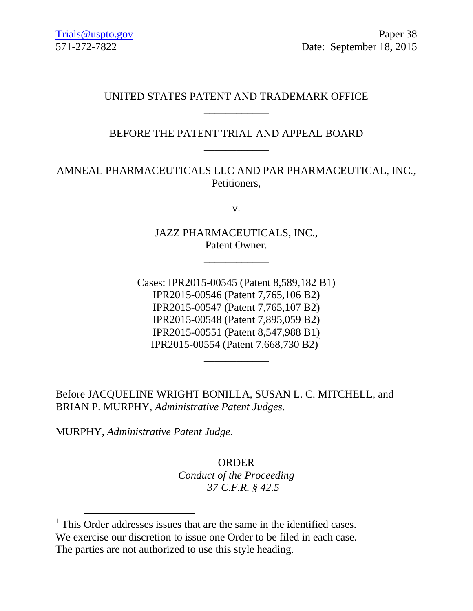## UNITED STATES PATENT AND TRADEMARK OFFICE \_\_\_\_\_\_\_\_\_\_\_\_

# BEFORE THE PATENT TRIAL AND APPEAL BOARD \_\_\_\_\_\_\_\_\_\_\_\_

# AMNEAL PHARMACEUTICALS LLC AND PAR PHARMACEUTICAL, INC., Petitioners,

v.

JAZZ PHARMACEUTICALS, INC., Patent Owner.

\_\_\_\_\_\_\_\_\_\_\_\_

Cases: IPR2015-00545 (Patent 8,589,182 B1) IPR2015-00546 (Patent 7,765,106 B2) IPR2015-00547 (Patent 7,765,107 B2) IPR2015-00548 (Patent 7,895,059 B2) IPR2015-00551 (Patent 8,547,988 B1) IPR2015-00554 (Patent 7,668,730 B2)<sup>1</sup>

\_\_\_\_\_\_\_\_\_\_\_\_

Before JACQUELINE WRIGHT BONILLA, SUSAN L. C. MITCHELL, and BRIAN P. MURPHY, *Administrative Patent Judges.*

MURPHY, *Administrative Patent Judge*.

l

ORDER *Conduct of the Proceeding 37 C.F.R. § 42.5*

<sup>&</sup>lt;sup>1</sup> This Order addresses issues that are the same in the identified cases. We exercise our discretion to issue one Order to be filed in each case. The parties are not authorized to use this style heading.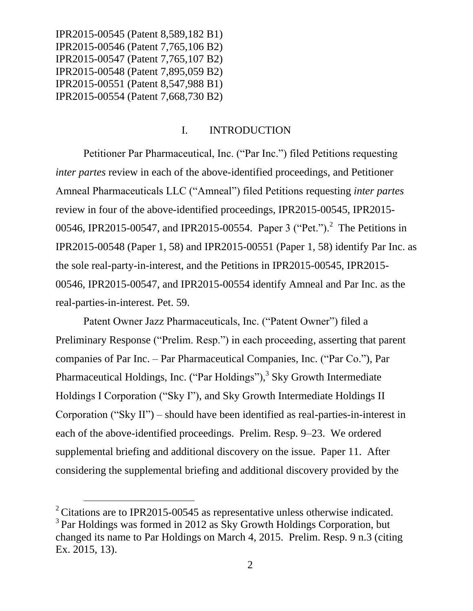l

#### I. INTRODUCTION

Petitioner Par Pharmaceutical, Inc. ("Par Inc.") filed Petitions requesting *inter partes* review in each of the above-identified proceedings, and Petitioner Amneal Pharmaceuticals LLC ("Amneal") filed Petitions requesting *inter partes*  review in four of the above-identified proceedings, IPR2015-00545, IPR2015- 00546, IPR2015-00547, and IPR2015-00554. Paper 3 ("Pet.").<sup>2</sup> The Petitions in IPR2015-00548 (Paper 1, 58) and IPR2015-00551 (Paper 1, 58) identify Par Inc. as the sole real-party-in-interest, and the Petitions in IPR2015-00545, IPR2015- 00546, IPR2015-00547, and IPR2015-00554 identify Amneal and Par Inc. as the real-parties-in-interest. Pet. 59.

Patent Owner Jazz Pharmaceuticals, Inc. ("Patent Owner") filed a Preliminary Response ("Prelim. Resp.") in each proceeding, asserting that parent companies of Par Inc. – Par Pharmaceutical Companies, Inc. ("Par Co."), Par Pharmaceutical Holdings, Inc. ("Par Holdings"),<sup>3</sup> Sky Growth Intermediate Holdings I Corporation ("Sky I"), and Sky Growth Intermediate Holdings II Corporation ("Sky II") – should have been identified as real-parties-in-interest in each of the above-identified proceedings. Prelim. Resp. 9–23. We ordered supplemental briefing and additional discovery on the issue. Paper 11. After considering the supplemental briefing and additional discovery provided by the

 $2^2$  Citations are to IPR2015-00545 as representative unless otherwise indicated. <sup>3</sup> Par Holdings was formed in 2012 as Sky Growth Holdings Corporation, but changed its name to Par Holdings on March 4, 2015. Prelim. Resp. 9 n.3 (citing Ex. 2015, 13).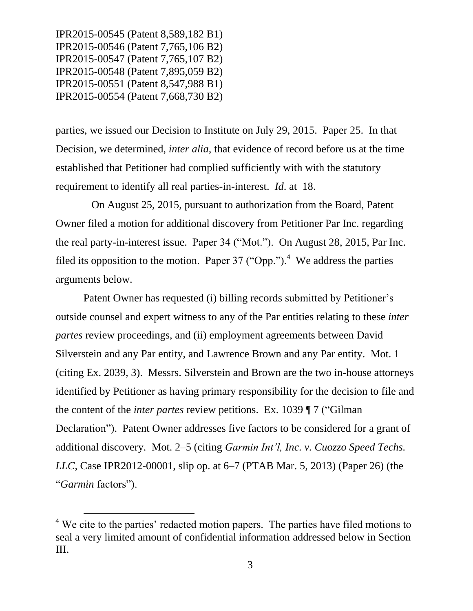l

parties, we issued our Decision to Institute on July 29, 2015. Paper 25. In that Decision, we determined, *inter alia*, that evidence of record before us at the time established that Petitioner had complied sufficiently with with the statutory requirement to identify all real parties-in-interest. *Id*. at 18.

 On August 25, 2015, pursuant to authorization from the Board, Patent Owner filed a motion for additional discovery from Petitioner Par Inc. regarding the real party-in-interest issue. Paper 34 ("Mot."). On August 28, 2015, Par Inc. filed its opposition to the motion. Paper 37 ("Opp.").<sup>4</sup> We address the parties arguments below.

Patent Owner has requested (i) billing records submitted by Petitioner's outside counsel and expert witness to any of the Par entities relating to these *inter partes* review proceedings, and (ii) employment agreements between David Silverstein and any Par entity, and Lawrence Brown and any Par entity. Mot. 1 (citing Ex. 2039, 3). Messrs. Silverstein and Brown are the two in-house attorneys identified by Petitioner as having primary responsibility for the decision to file and the content of the *inter partes* review petitions. Ex. 1039 ¶ 7 ("Gilman Declaration"). Patent Owner addresses five factors to be considered for a grant of additional discovery. Mot. 2–5 (citing *Garmin Int'l, Inc. v. Cuozzo Speed Techs. LLC*, Case IPR2012-00001, slip op. at 6–7 (PTAB Mar. 5, 2013) (Paper 26) (the "*Garmin* factors").

 $4$  We cite to the parties' redacted motion papers. The parties have filed motions to seal a very limited amount of confidential information addressed below in Section III.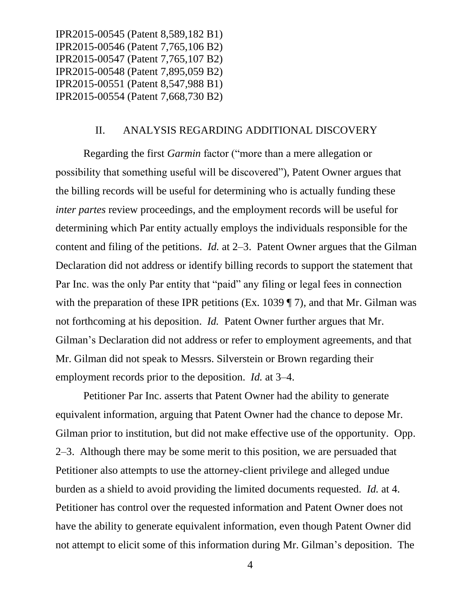#### II. ANALYSIS REGARDING ADDITIONAL DISCOVERY

Regarding the first *Garmin* factor ("more than a mere allegation or possibility that something useful will be discovered"), Patent Owner argues that the billing records will be useful for determining who is actually funding these *inter partes review proceedings, and the employment records will be useful for* determining which Par entity actually employs the individuals responsible for the content and filing of the petitions. *Id.* at 2–3. Patent Owner argues that the Gilman Declaration did not address or identify billing records to support the statement that Par Inc. was the only Par entity that "paid" any filing or legal fees in connection with the preparation of these IPR petitions (Ex. 1039 ¶ 7), and that Mr. Gilman was not forthcoming at his deposition. *Id.* Patent Owner further argues that Mr. Gilman's Declaration did not address or refer to employment agreements, and that Mr. Gilman did not speak to Messrs. Silverstein or Brown regarding their employment records prior to the deposition. *Id.* at 3–4.

Petitioner Par Inc. asserts that Patent Owner had the ability to generate equivalent information, arguing that Patent Owner had the chance to depose Mr. Gilman prior to institution, but did not make effective use of the opportunity. Opp. 2–3. Although there may be some merit to this position, we are persuaded that Petitioner also attempts to use the attorney-client privilege and alleged undue burden as a shield to avoid providing the limited documents requested. *Id.* at 4. Petitioner has control over the requested information and Patent Owner does not have the ability to generate equivalent information, even though Patent Owner did not attempt to elicit some of this information during Mr. Gilman's deposition. The

4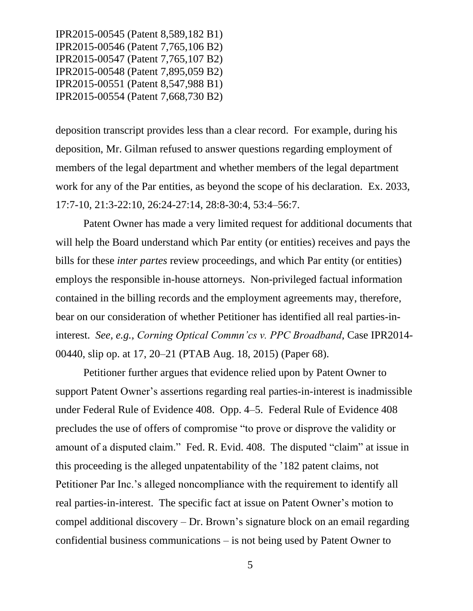deposition transcript provides less than a clear record. For example, during his deposition, Mr. Gilman refused to answer questions regarding employment of members of the legal department and whether members of the legal department work for any of the Par entities, as beyond the scope of his declaration. Ex. 2033, 17:7-10, 21:3-22:10, 26:24-27:14, 28:8-30:4, 53:4–56:7.

Patent Owner has made a very limited request for additional documents that will help the Board understand which Par entity (or entities) receives and pays the bills for these *inter partes* review proceedings, and which Par entity (or entities) employs the responsible in-house attorneys. Non-privileged factual information contained in the billing records and the employment agreements may, therefore, bear on our consideration of whether Petitioner has identified all real parties-ininterest. *See, e.g., Corning Optical Commn'cs v. PPC Broadband*, Case IPR2014- 00440, slip op. at 17, 20–21 (PTAB Aug. 18, 2015) (Paper 68).

Petitioner further argues that evidence relied upon by Patent Owner to support Patent Owner's assertions regarding real parties-in-interest is inadmissible under Federal Rule of Evidence 408. Opp. 4–5. Federal Rule of Evidence 408 precludes the use of offers of compromise "to prove or disprove the validity or amount of a disputed claim." Fed. R. Evid. 408. The disputed "claim" at issue in this proceeding is the alleged unpatentability of the '182 patent claims, not Petitioner Par Inc.'s alleged noncompliance with the requirement to identify all real parties-in-interest. The specific fact at issue on Patent Owner's motion to compel additional discovery – Dr. Brown's signature block on an email regarding confidential business communications – is not being used by Patent Owner to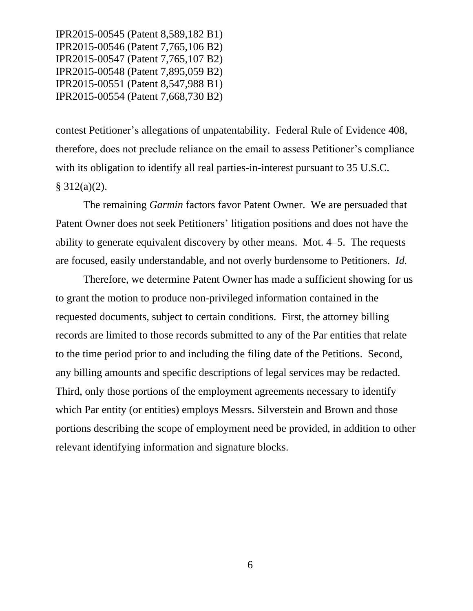contest Petitioner's allegations of unpatentability. Federal Rule of Evidence 408, therefore, does not preclude reliance on the email to assess Petitioner's compliance with its obligation to identify all real parties-in-interest pursuant to 35 U.S.C.  $§ 312(a)(2).$ 

The remaining *Garmin* factors favor Patent Owner. We are persuaded that Patent Owner does not seek Petitioners' litigation positions and does not have the ability to generate equivalent discovery by other means. Mot. 4–5. The requests are focused, easily understandable, and not overly burdensome to Petitioners. *Id.*

Therefore, we determine Patent Owner has made a sufficient showing for us to grant the motion to produce non-privileged information contained in the requested documents, subject to certain conditions. First, the attorney billing records are limited to those records submitted to any of the Par entities that relate to the time period prior to and including the filing date of the Petitions. Second, any billing amounts and specific descriptions of legal services may be redacted. Third, only those portions of the employment agreements necessary to identify which Par entity (or entities) employs Messrs. Silverstein and Brown and those portions describing the scope of employment need be provided, in addition to other relevant identifying information and signature blocks.

6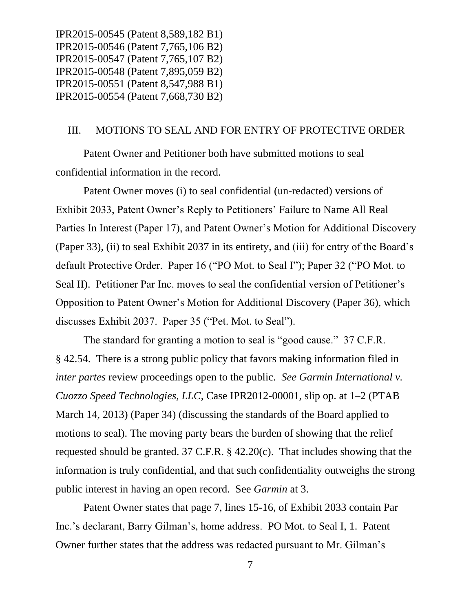### III. MOTIONS TO SEAL AND FOR ENTRY OF PROTECTIVE ORDER

Patent Owner and Petitioner both have submitted motions to seal confidential information in the record.

Patent Owner moves (i) to seal confidential (un-redacted) versions of Exhibit 2033, Patent Owner's Reply to Petitioners' Failure to Name All Real Parties In Interest (Paper 17), and Patent Owner's Motion for Additional Discovery (Paper 33), (ii) to seal Exhibit 2037 in its entirety, and (iii) for entry of the Board's default Protective Order. Paper 16 ("PO Mot. to Seal I"); Paper 32 ("PO Mot. to Seal II). Petitioner Par Inc. moves to seal the confidential version of Petitioner's Opposition to Patent Owner's Motion for Additional Discovery (Paper 36), which discusses Exhibit 2037. Paper 35 ("Pet. Mot. to Seal").

The standard for granting a motion to seal is "good cause." 37 C.F.R. § 42.54. There is a strong public policy that favors making information filed in *inter partes* review proceedings open to the public. *See Garmin International v. Cuozzo Speed Technologies, LLC*, Case IPR2012-00001, slip op. at 1–2 (PTAB March 14, 2013) (Paper 34) (discussing the standards of the Board applied to motions to seal). The moving party bears the burden of showing that the relief requested should be granted. 37 C.F.R. § 42.20(c). That includes showing that the information is truly confidential, and that such confidentiality outweighs the strong public interest in having an open record. See *Garmin* at 3.

Patent Owner states that page 7, lines 15-16, of Exhibit 2033 contain Par Inc.'s declarant, Barry Gilman's, home address. PO Mot. to Seal I, 1. Patent Owner further states that the address was redacted pursuant to Mr. Gilman's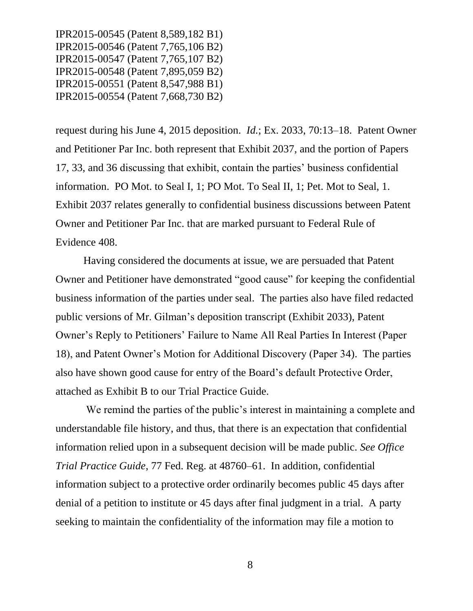request during his June 4, 2015 deposition. *Id.*; Ex. 2033, 70:13–18. Patent Owner and Petitioner Par Inc. both represent that Exhibit 2037, and the portion of Papers 17, 33, and 36 discussing that exhibit, contain the parties' business confidential information. PO Mot. to Seal I, 1; PO Mot. To Seal II, 1; Pet. Mot to Seal, 1. Exhibit 2037 relates generally to confidential business discussions between Patent Owner and Petitioner Par Inc. that are marked pursuant to Federal Rule of Evidence 408.

Having considered the documents at issue, we are persuaded that Patent Owner and Petitioner have demonstrated "good cause" for keeping the confidential business information of the parties under seal. The parties also have filed redacted public versions of Mr. Gilman's deposition transcript (Exhibit 2033), Patent Owner's Reply to Petitioners' Failure to Name All Real Parties In Interest (Paper 18), and Patent Owner's Motion for Additional Discovery (Paper 34). The parties also have shown good cause for entry of the Board's default Protective Order, attached as Exhibit B to our Trial Practice Guide.

We remind the parties of the public's interest in maintaining a complete and understandable file history, and thus, that there is an expectation that confidential information relied upon in a subsequent decision will be made public. *See Office Trial Practice Guide*, 77 Fed. Reg. at 48760–61. In addition, confidential information subject to a protective order ordinarily becomes public 45 days after denial of a petition to institute or 45 days after final judgment in a trial. A party seeking to maintain the confidentiality of the information may file a motion to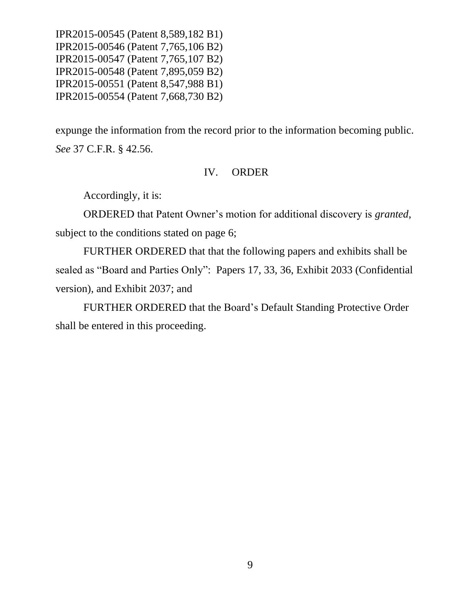expunge the information from the record prior to the information becoming public. *See* 37 C.F.R. § 42.56.

### IV. ORDER

Accordingly, it is:

ORDERED that Patent Owner's motion for additional discovery is *granted*, subject to the conditions stated on page 6;

FURTHER ORDERED that that the following papers and exhibits shall be sealed as "Board and Parties Only": Papers 17, 33, 36, Exhibit 2033 (Confidential version), and Exhibit 2037; and

FURTHER ORDERED that the Board's Default Standing Protective Order shall be entered in this proceeding.